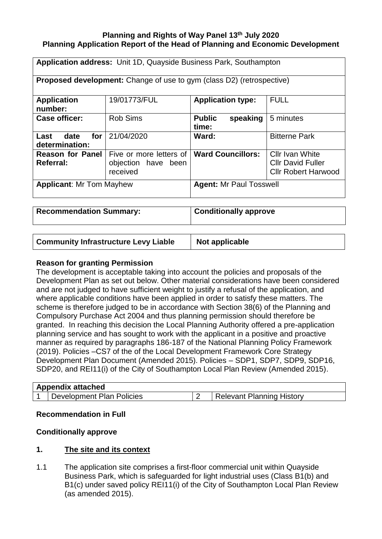# **Planning and Rights of Way Panel 13 th July 2020 Planning Application Report of the Head of Planning and Economic Development**

| Application address: Unit 1D, Quayside Business Park, Southampton            |                                                            |                                    |                                                                                  |  |  |
|------------------------------------------------------------------------------|------------------------------------------------------------|------------------------------------|----------------------------------------------------------------------------------|--|--|
| <b>Proposed development:</b> Change of use to gym (class D2) (retrospective) |                                                            |                                    |                                                                                  |  |  |
| <b>Application</b><br>number:                                                | 19/01773/FUL                                               | <b>Application type:</b>           | <b>FULL</b>                                                                      |  |  |
| <b>Case officer:</b>                                                         | <b>Rob Sims</b>                                            | <b>Public</b><br>speaking<br>time: | 5 minutes                                                                        |  |  |
| for<br>Last<br>date<br>determination:                                        | 21/04/2020                                                 | Ward:                              | <b>Bitterne Park</b>                                                             |  |  |
| <b>Reason for Panel</b><br><b>Referral:</b>                                  | Five or more letters of<br>objection have been<br>received | <b>Ward Councillors:</b>           | <b>Cllr Ivan White</b><br><b>Cllr David Fuller</b><br><b>Cllr Robert Harwood</b> |  |  |
| <b>Applicant: Mr Tom Mayhew</b>                                              |                                                            | <b>Agent: Mr Paul Tosswell</b>     |                                                                                  |  |  |

**Recommendation Summary: Conditionally approve** 

**Community Infrastructure Levy Liable | Not applicable** 

# **Reason for granting Permission**

The development is acceptable taking into account the policies and proposals of the Development Plan as set out below. Other material considerations have been considered and are not judged to have sufficient weight to justify a refusal of the application, and where applicable conditions have been applied in order to satisfy these matters. The scheme is therefore judged to be in accordance with Section 38(6) of the Planning and Compulsory Purchase Act 2004 and thus planning permission should therefore be granted. In reaching this decision the Local Planning Authority offered a pre-application planning service and has sought to work with the applicant in a positive and proactive manner as required by paragraphs 186-187 of the National Planning Policy Framework (2019). Policies –CS7 of the of the Local Development Framework Core Strategy Development Plan Document (Amended 2015). Policies – SDP1, SDP7, SDP9, SDP16, SDP20, and REI11(i) of the City of Southampton Local Plan Review (Amended 2015).

| <b>Appendix attached</b>  |                                  |
|---------------------------|----------------------------------|
| Development Plan Policies | <b>Relevant Planning History</b> |

# **Recommendation in Full**

# **Conditionally approve**

# **1. The site and its context**

1.1 The application site comprises a first-floor commercial unit within Quayside Business Park, which is safeguarded for light industrial uses (Class B1(b) and B1(c) under saved policy REI11(i) of the City of Southampton Local Plan Review (as amended 2015).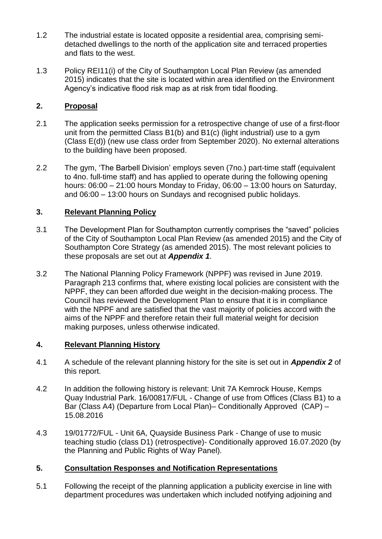- 1.2 The industrial estate is located opposite a residential area, comprising semidetached dwellings to the north of the application site and terraced properties and flats to the west.
- 1.3 Policy REI11(i) of the City of Southampton Local Plan Review (as amended 2015) indicates that the site is located within area identified on the Environment Agency's indicative flood risk map as at risk from tidal flooding.

# **2. Proposal**

- 2.1 The application seeks permission for a retrospective change of use of a first-floor unit from the permitted Class B1(b) and B1(c) (light industrial) use to a gym (Class E(d)) (new use class order from September 2020). No external alterations to the building have been proposed.
- 2.2 The gym, 'The Barbell Division' employs seven (7no.) part-time staff (equivalent to 4no. full-time staff) and has applied to operate during the following opening hours: 06:00 – 21:00 hours Monday to Friday, 06:00 – 13:00 hours on Saturday, and 06:00 – 13:00 hours on Sundays and recognised public holidays.

# **3. Relevant Planning Policy**

- 3.1 The Development Plan for Southampton currently comprises the "saved" policies of the City of Southampton Local Plan Review (as amended 2015) and the City of Southampton Core Strategy (as amended 2015). The most relevant policies to these proposals are set out at *Appendix 1*.
- 3.2 The National Planning Policy Framework (NPPF) was revised in June 2019. Paragraph 213 confirms that, where existing local policies are consistent with the NPPF, they can been afforded due weight in the decision-making process. The Council has reviewed the Development Plan to ensure that it is in compliance with the NPPF and are satisfied that the vast majority of policies accord with the aims of the NPPF and therefore retain their full material weight for decision making purposes, unless otherwise indicated.

# **4. Relevant Planning History**

- 4.1 A schedule of the relevant planning history for the site is set out in *Appendix 2* of this report.
- 4.2 In addition the following history is relevant: Unit 7A Kemrock House, Kemps Quay Industrial Park. 16/00817/FUL - Change of use from Offices (Class B1) to a Bar (Class A4) (Departure from Local Plan)– Conditionally Approved (CAP) – 15.08.2016
- 4.3 19/01772/FUL - Unit 6A, Quayside Business Park - Change of use to music teaching studio (class D1) (retrospective)- Conditionally approved 16.07.2020 (by the Planning and Public Rights of Way Panel).

# **5. Consultation Responses and Notification Representations**

5.1 Following the receipt of the planning application a publicity exercise in line with department procedures was undertaken which included notifying adjoining and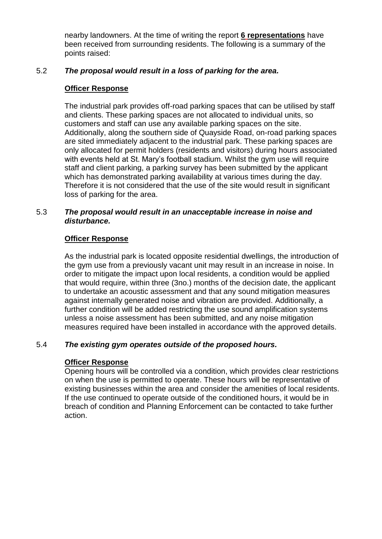nearby landowners. At the time of writing the report **6 representations** have been received from surrounding residents. The following is a summary of the points raised:

# 5.2 *The proposal would result in a loss of parking for the area.*

## **Officer Response**

The industrial park provides off-road parking spaces that can be utilised by staff and clients. These parking spaces are not allocated to individual units, so customers and staff can use any available parking spaces on the site. Additionally, along the southern side of Quayside Road, on-road parking spaces are sited immediately adjacent to the industrial park. These parking spaces are only allocated for permit holders (residents and visitors) during hours associated with events held at St. Mary's football stadium. Whilst the gym use will require staff and client parking, a parking survey has been submitted by the applicant which has demonstrated parking availability at various times during the day. Therefore it is not considered that the use of the site would result in significant loss of parking for the area.

#### 5.3 *The proposal would result in an unacceptable increase in noise and disturbance.*

# **Officer Response**

As the industrial park is located opposite residential dwellings, the introduction of the gym use from a previously vacant unit may result in an increase in noise. In order to mitigate the impact upon local residents, a condition would be applied that would require, within three (3no.) months of the decision date, the applicant to undertake an acoustic assessment and that any sound mitigation measures against internally generated noise and vibration are provided. Additionally, a further condition will be added restricting the use sound amplification systems unless a noise assessment has been submitted, and any noise mitigation measures required have been installed in accordance with the approved details.

#### 5.4 *The existing gym operates outside of the proposed hours.*

# **Officer Response**

Opening hours will be controlled via a condition, which provides clear restrictions on when the use is permitted to operate. These hours will be representative of existing businesses within the area and consider the amenities of local residents. If the use continued to operate outside of the conditioned hours, it would be in breach of condition and Planning Enforcement can be contacted to take further action.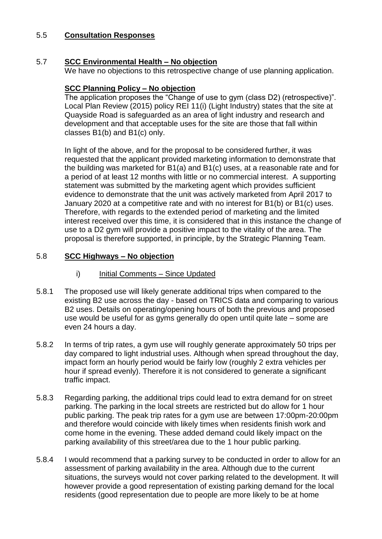#### 5.5 **Consultation Responses**

#### 5.7 **SCC Environmental Health – No objection**

We have no objections to this retrospective change of use planning application.

# **SCC Planning Policy – No objection**

The application proposes the "Change of use to gym (class D2) (retrospective)". Local Plan Review (2015) policy REI 11(i) (Light Industry) states that the site at Quayside Road is safeguarded as an area of light industry and research and development and that acceptable uses for the site are those that fall within classes B1(b) and B1(c) only.

In light of the above, and for the proposal to be considered further, it was requested that the applicant provided marketing information to demonstrate that the building was marketed for B1(a) and B1(c) uses, at a reasonable rate and for a period of at least 12 months with little or no commercial interest. A supporting statement was submitted by the marketing agent which provides sufficient evidence to demonstrate that the unit was actively marketed from April 2017 to January 2020 at a competitive rate and with no interest for B1(b) or B1(c) uses. Therefore, with regards to the extended period of marketing and the limited interest received over this time, it is considered that in this instance the change of use to a D2 gym will provide a positive impact to the vitality of the area. The proposal is therefore supported, in principle, by the Strategic Planning Team.

#### 5.8 **SCC Highways – No objection**

- i) Initial Comments Since Updated
- 5.8.1 The proposed use will likely generate additional trips when compared to the existing B2 use across the day - based on TRICS data and comparing to various B2 uses. Details on operating/opening hours of both the previous and proposed use would be useful for as gyms generally do open until quite late – some are even 24 hours a day.
- 5.8.2 In terms of trip rates, a gym use will roughly generate approximately 50 trips per day compared to light industrial uses. Although when spread throughout the day, impact form an hourly period would be fairly low (roughly 2 extra vehicles per hour if spread evenly). Therefore it is not considered to generate a significant traffic impact.
- 5.8.3 Regarding parking, the additional trips could lead to extra demand for on street parking. The parking in the local streets are restricted but do allow for 1 hour public parking. The peak trip rates for a gym use are between 17:00pm-20:00pm and therefore would coincide with likely times when residents finish work and come home in the evening. These added demand could likely impact on the parking availability of this street/area due to the 1 hour public parking.
- 5.8.4 I would recommend that a parking survey to be conducted in order to allow for an assessment of parking availability in the area. Although due to the current situations, the surveys would not cover parking related to the development. It will however provide a good representation of existing parking demand for the local residents (good representation due to people are more likely to be at home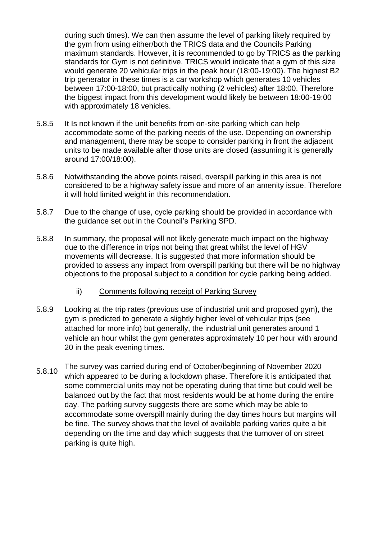during such times). We can then assume the level of parking likely required by the gym from using either/both the TRICS data and the Councils Parking maximum standards. However, it is recommended to go by TRICS as the parking standards for Gym is not definitive. TRICS would indicate that a gym of this size would generate 20 vehicular trips in the peak hour (18:00-19:00). The highest B2 trip generator in these times is a car workshop which generates 10 vehicles between 17:00-18:00, but practically nothing (2 vehicles) after 18:00. Therefore the biggest impact from this development would likely be between 18:00-19:00 with approximately 18 vehicles.

- 5.8.5 It Is not known if the unit benefits from on-site parking which can help accommodate some of the parking needs of the use. Depending on ownership and management, there may be scope to consider parking in front the adjacent units to be made available after those units are closed (assuming it is generally around 17:00/18:00).
- 5.8.6 Notwithstanding the above points raised, overspill parking in this area is not considered to be a highway safety issue and more of an amenity issue. Therefore it will hold limited weight in this recommendation.
- 5.8.7 Due to the change of use, cycle parking should be provided in accordance with the guidance set out in the Council's Parking SPD.
- 5.8.8 In summary, the proposal will not likely generate much impact on the highway due to the difference in trips not being that great whilst the level of HGV movements will decrease. It is suggested that more information should be provided to assess any impact from overspill parking but there will be no highway objections to the proposal subject to a condition for cycle parking being added.
	- ii) Comments following receipt of Parking Survey
- 5.8.9 Looking at the trip rates (previous use of industrial unit and proposed gym), the gym is predicted to generate a slightly higher level of vehicular trips (see attached for more info) but generally, the industrial unit generates around 1 vehicle an hour whilst the gym generates approximately 10 per hour with around 20 in the peak evening times.
- 5.8.10 The survey was carried during end of October/beginning of November 2020 which appeared to be during a lockdown phase. Therefore it is anticipated that some commercial units may not be operating during that time but could well be balanced out by the fact that most residents would be at home during the entire day. The parking survey suggests there are some which may be able to accommodate some overspill mainly during the day times hours but margins will be fine. The survey shows that the level of available parking varies quite a bit depending on the time and day which suggests that the turnover of on street parking is quite high.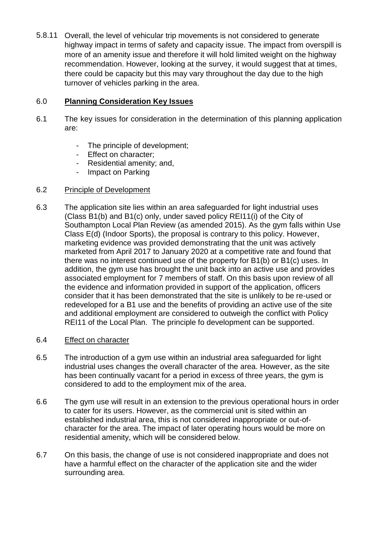5.8.11 Overall, the level of vehicular trip movements is not considered to generate highway impact in terms of safety and capacity issue. The impact from overspill is more of an amenity issue and therefore it will hold limited weight on the highway recommendation. However, looking at the survey, it would suggest that at times, there could be capacity but this may vary throughout the day due to the high turnover of vehicles parking in the area.

# 6.0 **Planning Consideration Key Issues**

- 6.1 The key issues for consideration in the determination of this planning application are:
	- The principle of development;
	- Effect on character;
	- Residential amenity; and,
	- Impact on Parking

### 6.2 Principle of Development

- 6.3 The application site lies within an area safeguarded for light industrial uses (Class B1(b) and B1(c) only, under saved policy REI11(i) of the City of Southampton Local Plan Review (as amended 2015). As the gym falls within Use Class E(d) (Indoor Sports), the proposal is contrary to this policy. However, marketing evidence was provided demonstrating that the unit was actively marketed from April 2017 to January 2020 at a competitive rate and found that there was no interest continued use of the property for B1(b) or B1(c) uses. In addition, the gym use has brought the unit back into an active use and provides associated employment for 7 members of staff. On this basis upon review of all the evidence and information provided in support of the application, officers consider that it has been demonstrated that the site is unlikely to be re-used or redeveloped for a B1 use and the benefits of providing an active use of the site and additional employment are considered to outweigh the conflict with Policy REI11 of the Local Plan. The principle fo development can be supported.
- 6.4 Effect on character
- 6.5 The introduction of a gym use within an industrial area safeguarded for light industrial uses changes the overall character of the area. However, as the site has been continually vacant for a period in excess of three years, the gym is considered to add to the employment mix of the area.
- 6.6 The gym use will result in an extension to the previous operational hours in order to cater for its users. However, as the commercial unit is sited within an established industrial area, this is not considered inappropriate or out-ofcharacter for the area. The impact of later operating hours would be more on residential amenity, which will be considered below.
- 6.7 On this basis, the change of use is not considered inappropriate and does not have a harmful effect on the character of the application site and the wider surrounding area.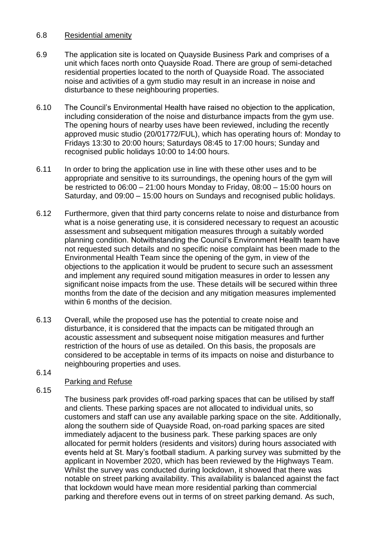## 6.8 Residential amenity

- 6.9 The application site is located on Quayside Business Park and comprises of a unit which faces north onto Quayside Road. There are group of semi-detached residential properties located to the north of Quayside Road. The associated noise and activities of a gym studio may result in an increase in noise and disturbance to these neighbouring properties.
- 6.10 The Council's Environmental Health have raised no objection to the application, including consideration of the noise and disturbance impacts from the gym use. The opening hours of nearby uses have been reviewed, including the recently approved music studio (20/01772/FUL), which has operating hours of: Monday to Fridays 13:30 to 20:00 hours; Saturdays 08:45 to 17:00 hours; Sunday and recognised public holidays 10:00 to 14:00 hours.
- 6.11 In order to bring the application use in line with these other uses and to be appropriate and sensitive to its surroundings, the opening hours of the gym will be restricted to  $06:00 - 21:00$  hours Monday to Friday,  $08:00 - 15:00$  hours on Saturday, and 09:00 – 15:00 hours on Sundays and recognised public holidays.
- 6.12 Furthermore, given that third party concerns relate to noise and disturbance from what is a noise generating use, it is considered necessary to request an acoustic assessment and subsequent mitigation measures through a suitably worded planning condition. Notwithstanding the Council's Environment Health team have not requested such details and no specific noise complaint has been made to the Environmental Health Team since the opening of the gym, in view of the objections to the application it would be prudent to secure such an assessment and implement any required sound mitigation measures in order to lessen any significant noise impacts from the use. These details will be secured within three months from the date of the decision and any mitigation measures implemented within 6 months of the decision.
- 6.13 Overall, while the proposed use has the potential to create noise and disturbance, it is considered that the impacts can be mitigated through an acoustic assessment and subsequent noise mitigation measures and further restriction of the hours of use as detailed. On this basis, the proposals are considered to be acceptable in terms of its impacts on noise and disturbance to neighbouring properties and uses.
- 6.14

# Parking and Refuse

6.15

The business park provides off-road parking spaces that can be utilised by staff and clients. These parking spaces are not allocated to individual units, so customers and staff can use any available parking space on the site. Additionally, along the southern side of Quayside Road, on-road parking spaces are sited immediately adjacent to the business park. These parking spaces are only allocated for permit holders (residents and visitors) during hours associated with events held at St. Mary's football stadium. A parking survey was submitted by the applicant in November 2020, which has been reviewed by the Highways Team. Whilst the survey was conducted during lockdown, it showed that there was notable on street parking availability. This availability is balanced against the fact that lockdown would have mean more residential parking than commercial parking and therefore evens out in terms of on street parking demand. As such,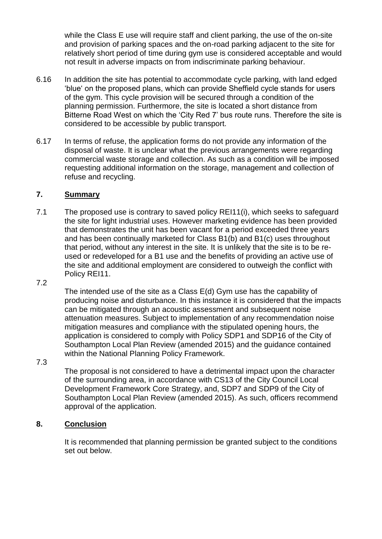while the Class E use will require staff and client parking, the use of the on-site and provision of parking spaces and the on-road parking adjacent to the site for relatively short period of time during gym use is considered acceptable and would not result in adverse impacts on from indiscriminate parking behaviour.

- 6.16 In addition the site has potential to accommodate cycle parking, with land edged 'blue' on the proposed plans, which can provide Sheffield cycle stands for users of the gym. This cycle provision will be secured through a condition of the planning permission. Furthermore, the site is located a short distance from Bitterne Road West on which the 'City Red 7' bus route runs. Therefore the site is considered to be accessible by public transport.
- 6.17 In terms of refuse, the application forms do not provide any information of the disposal of waste. It is unclear what the previous arrangements were regarding commercial waste storage and collection. As such as a condition will be imposed requesting additional information on the storage, management and collection of refuse and recycling.

### **7. Summary**

7.1 The proposed use is contrary to saved policy REI11(i), which seeks to safeguard the site for light industrial uses. However marketing evidence has been provided that demonstrates the unit has been vacant for a period exceeded three years and has been continually marketed for Class B1(b) and B1(c) uses throughout that period, without any interest in the site. It is unlikely that the site is to be reused or redeveloped for a B1 use and the benefits of providing an active use of the site and additional employment are considered to outweigh the conflict with Policy REI11.

#### 7.2

The intended use of the site as a Class E(d) Gym use has the capability of producing noise and disturbance. In this instance it is considered that the impacts can be mitigated through an acoustic assessment and subsequent noise attenuation measures. Subject to implementation of any recommendation noise mitigation measures and compliance with the stipulated opening hours, the application is considered to comply with Policy SDP1 and SDP16 of the City of Southampton Local Plan Review (amended 2015) and the guidance contained within the National Planning Policy Framework.

### 7.3

The proposal is not considered to have a detrimental impact upon the character of the surrounding area, in accordance with CS13 of the City Council Local Development Framework Core Strategy, and, SDP7 and SDP9 of the City of Southampton Local Plan Review (amended 2015). As such, officers recommend approval of the application.

### **8. Conclusion**

It is recommended that planning permission be granted subject to the conditions set out below.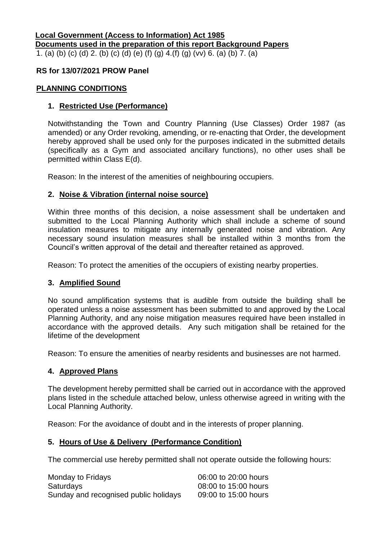#### **Local Government (Access to Information) Act 1985 Documents used in the preparation of this report Background Papers** 1. (a) (b) (c) (d) 2. (b) (c) (d) (e) (f) (g) 4.(f) (g) (vv) 6. (a) (b) 7. (a)

### **RS for 13/07/2021 PROW Panel**

#### **PLANNING CONDITIONS**

#### **1. Restricted Use (Performance)**

Notwithstanding the Town and Country Planning (Use Classes) Order 1987 (as amended) or any Order revoking, amending, or re-enacting that Order, the development hereby approved shall be used only for the purposes indicated in the submitted details (specifically as a Gym and associated ancillary functions), no other uses shall be permitted within Class E(d).

Reason: In the interest of the amenities of neighbouring occupiers.

#### **2. Noise & Vibration (internal noise source)**

Within three months of this decision, a noise assessment shall be undertaken and submitted to the Local Planning Authority which shall include a scheme of sound insulation measures to mitigate any internally generated noise and vibration. Any necessary sound insulation measures shall be installed within 3 months from the Council's written approval of the detail and thereafter retained as approved.

Reason: To protect the amenities of the occupiers of existing nearby properties.

### **3. Amplified Sound**

No sound amplification systems that is audible from outside the building shall be operated unless a noise assessment has been submitted to and approved by the Local Planning Authority, and any noise mitigation measures required have been installed in accordance with the approved details. Any such mitigation shall be retained for the lifetime of the development

Reason: To ensure the amenities of nearby residents and businesses are not harmed.

#### **4. Approved Plans**

The development hereby permitted shall be carried out in accordance with the approved plans listed in the schedule attached below, unless otherwise agreed in writing with the Local Planning Authority.

Reason: For the avoidance of doubt and in the interests of proper planning.

#### **5. Hours of Use & Delivery (Performance Condition)**

The commercial use hereby permitted shall not operate outside the following hours:

| Monday to Fridays                     | 06:00 to 20:00 hours |
|---------------------------------------|----------------------|
| <b>Saturdays</b>                      | 08:00 to 15:00 hours |
| Sunday and recognised public holidays | 09:00 to 15:00 hours |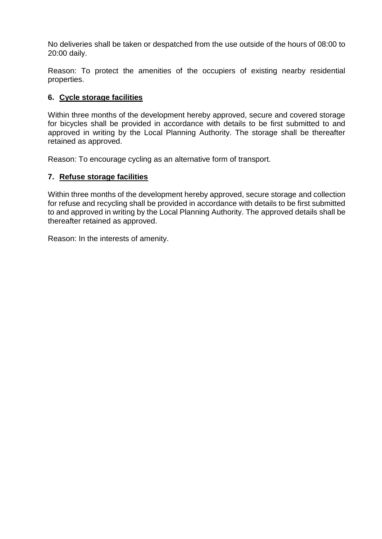No deliveries shall be taken or despatched from the use outside of the hours of 08:00 to 20:00 daily.

Reason: To protect the amenities of the occupiers of existing nearby residential properties.

# **6. Cycle storage facilities**

Within three months of the development hereby approved, secure and covered storage for bicycles shall be provided in accordance with details to be first submitted to and approved in writing by the Local Planning Authority. The storage shall be thereafter retained as approved.

Reason: To encourage cycling as an alternative form of transport.

### **7. Refuse storage facilities**

Within three months of the development hereby approved, secure storage and collection for refuse and recycling shall be provided in accordance with details to be first submitted to and approved in writing by the Local Planning Authority. The approved details shall be thereafter retained as approved.

Reason: In the interests of amenity.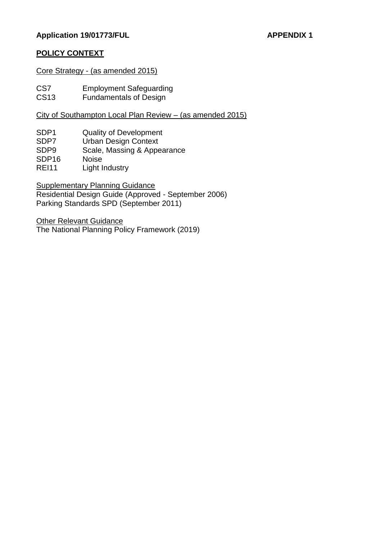## Application 19/01773/FUL APPENDIX 1

# **POLICY CONTEXT**

Core Strategy - (as amended 2015)

CS7 Employment Safeguarding<br>CS13 Fundamentals of Design

Fundamentals of Design

City of Southampton Local Plan Review – (as amended 2015)

- SDP1 Quality of Development
- SDP7 Urban Design Context
- SDP9 Scale, Massing & Appearance
- SDP16 Noise
- REI11 Light Industry

Supplementary Planning Guidance Residential Design Guide (Approved - September 2006) Parking Standards SPD (September 2011)

Other Relevant Guidance The National Planning Policy Framework (2019)